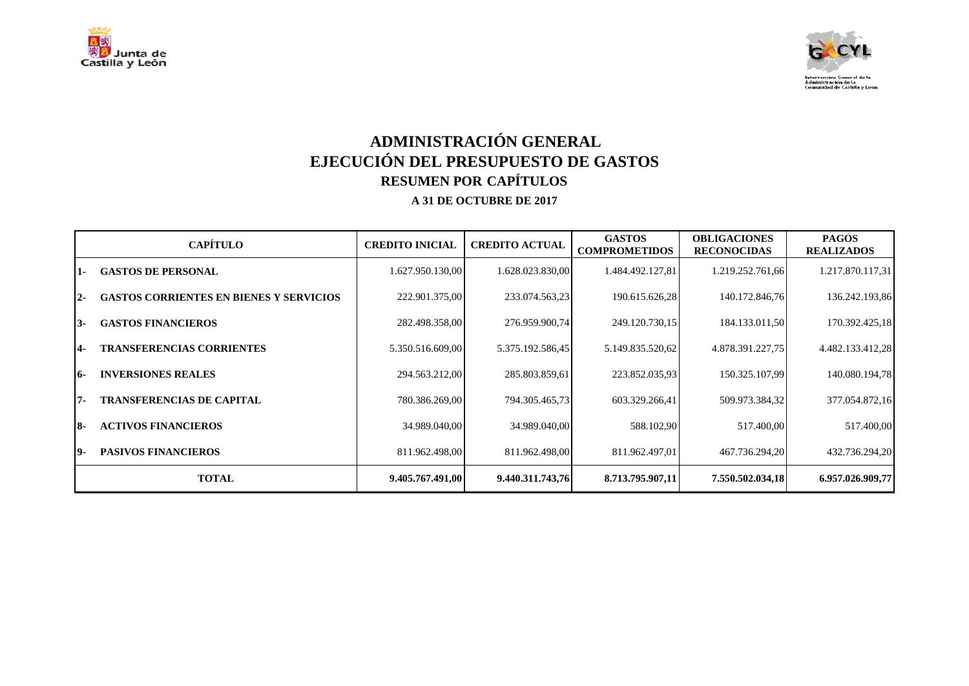



## **ADMINISTRACIÓN GENERAL EJECUCIÓN DEL PRESUPUESTO DE GASTOS RESUMEN POR CAPÍTULOS A 31 DE OCTUBRE DE 2017**

|            | <b>CAPÍTULO</b>                                | <b>CREDITO INICIAL</b> | <b>CREDITO ACTUAL</b> | <b>GASTOS</b><br><b>COMPROMETIDOS</b> | <b>OBLIGACIONES</b><br><b>RECONOCIDAS</b> | <b>PAGOS</b><br><b>REALIZADOS</b> |
|------------|------------------------------------------------|------------------------|-----------------------|---------------------------------------|-------------------------------------------|-----------------------------------|
| 1-         | <b>GASTOS DE PERSONAL</b>                      | 1.627.950.130,00       | 1.628.023.830,00      | 1.484.492.127,81                      | 1.219.252.761,66                          | 1.217.870.117,31                  |
| <u> 2-</u> | <b>GASTOS CORRIENTES EN BIENES Y SERVICIOS</b> | 222.901.375,00         | 233.074.563,23        | 190.615.626,28                        | 140.172.846,76                            | 136.242.193,86                    |
| 13-        | <b>GASTOS FINANCIEROS</b>                      | 282.498.358,00         | 276.959.900,74        | 249.120.730,15                        | 184.133.011,50                            | 170.392.425,18                    |
| 4-         | <b>TRANSFERENCIAS CORRIENTES</b>               | 5.350.516.609,00       | 5.375.192.586,45      | 5.149.835.520,62                      | 4.878.391.227,75                          | 4.482.133.412,28                  |
| 16-        | <b>INVERSIONES REALES</b>                      | 294.563.212,00         | 285.803.859,61        | 223.852.035,93                        | 150.325.107,99                            | 140.080.194,78                    |
| 17-        | <b>TRANSFERENCIAS DE CAPITAL</b>               | 780.386.269,00         | 794.305.465.73        | 603.329.266,41                        | 509.973.384,32                            | 377.054.872,16                    |
| <b>8-</b>  | <b>ACTIVOS FINANCIEROS</b>                     | 34.989.040,00          | 34.989.040,00         | 588.102,90                            | 517.400,00                                | 517.400,00                        |
| 19-        | <b>PASIVOS FINANCIEROS</b>                     | 811.962.498,00         | 811.962.498,00        | 811.962.497,01                        | 467.736.294,20                            | 432.736.294,20                    |
|            | <b>TOTAL</b>                                   | 9.405.767.491,00       | 9.440.311.743,76      | 8.713.795.907,11                      | 7.550.502.034.18                          | 6.957.026.909,77                  |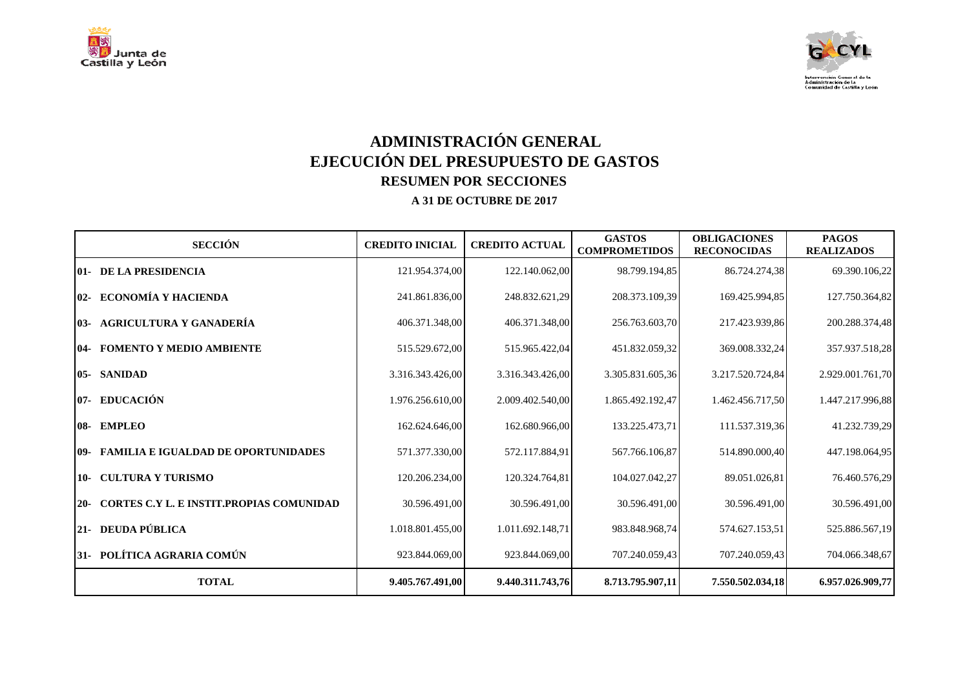



# **ADMINISTRACIÓN GENERAL EJECUCIÓN DEL PRESUPUESTO DE GASTOS RESUMEN POR SECCIONES**

| <b>SECCIÓN</b>                                           | <b>CREDITO INICIAL</b> | <b>CREDITO ACTUAL</b> | <b>GASTOS</b><br><b>COMPROMETIDOS</b> | <b>OBLIGACIONES</b><br><b>RECONOCIDAS</b> | <b>PAGOS</b><br><b>REALIZADOS</b> |
|----------------------------------------------------------|------------------------|-----------------------|---------------------------------------|-------------------------------------------|-----------------------------------|
| <b>01- DE LA PRESIDENCIA</b>                             | 121.954.374,00         | 122.140.062,00        | 98.799.194,85                         | 86.724.274,38                             | 69.390.106,22                     |
| 02- ECONOMÍA Y HACIENDA                                  | 241.861.836,00         | 248.832.621,29        | 208.373.109,39                        | 169.425.994,85                            | 127.750.364,82                    |
| 03- AGRICULTURA Y GANADERÍA                              | 406.371.348,00         | 406.371.348,00        | 256.763.603,70                        | 217.423.939,86                            | 200.288.374,48                    |
| <b>04- FOMENTO Y MEDIO AMBIENTE</b>                      | 515.529.672,00         | 515.965.422,04        | 451.832.059,32                        | 369.008.332,24                            | 357.937.518,28                    |
| 05- SANIDAD                                              | 3.316.343.426,00       | 3.316.343.426,00      | 3.305.831.605,36                      | 3.217.520.724,84                          | 2.929.001.761,70                  |
| 07- EDUCACIÓN                                            | 1.976.256.610,00       | 2.009.402.540,00      | 1.865.492.192,47                      | 1.462.456.717,50                          | 1.447.217.996,88                  |
| 08- EMPLEO                                               | 162.624.646,00         | 162.680.966,00        | 133.225.473,71                        | 111.537.319,36                            | 41.232.739,29                     |
| 09- FAMILIA E IGUALDAD DE OPORTUNIDADES                  | 571.377.330,00         | 572.117.884.91        | 567.766.106,87                        | 514.890.000.40                            | 447.198.064.95                    |
| 10- CULTURA Y TURISMO                                    | 120.206.234,00         | 120.324.764,81        | 104.027.042,27                        | 89.051.026,81                             | 76.460.576,29                     |
| <b>CORTES C.Y L. E INSTIT.PROPIAS COMUNIDAD</b><br>$20-$ | 30.596.491,00          | 30.596.491,00         | 30.596.491,00                         | 30.596.491,00                             | 30.596.491,00                     |
| 21- DEUDA PÚBLICA                                        | 1.018.801.455,00       | 1.011.692.148,71      | 983.848.968,74                        | 574.627.153,51                            | 525.886.567,19                    |
| 31- POLÍTICA AGRARIA COMÚN                               | 923.844.069,00         | 923.844.069,00        | 707.240.059,43                        | 707.240.059,43                            | 704.066.348,67                    |
| <b>TOTAL</b>                                             | 9.405.767.491,00       | 9.440.311.743,76      | 8.713.795.907,11                      | 7.550.502.034,18                          | 6.957.026.909,77                  |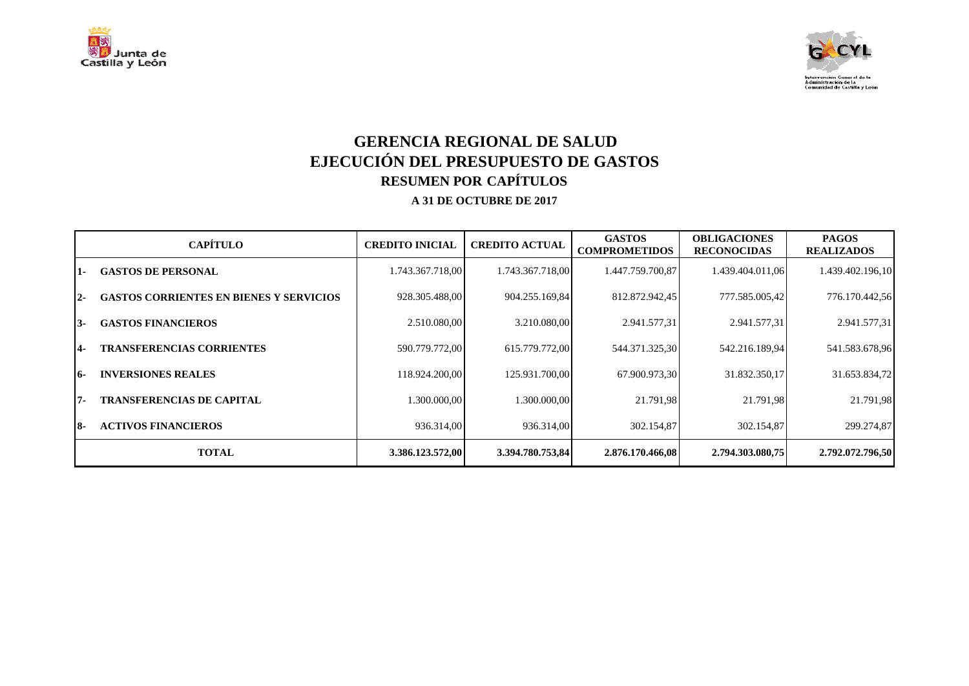



## **GERENCIA REGIONAL DE SALUD EJECUCIÓN DEL PRESUPUESTO DE GASTOS RESUMEN POR CAPÍTULOS A 31 DE OCTUBRE DE 2017**

|            | <b>CAPÍTULO</b>                                | <b>CREDITO INICIAL</b> | <b>CREDITO ACTUAL</b> | <b>GASTOS</b><br><b>COMPROMETIDOS</b> | <b>OBLIGACIONES</b><br><b>RECONOCIDAS</b> | <b>PAGOS</b><br><b>REALIZADOS</b> |
|------------|------------------------------------------------|------------------------|-----------------------|---------------------------------------|-------------------------------------------|-----------------------------------|
| $1 -$      | <b>GASTOS DE PERSONAL</b>                      | 1.743.367.718,00       | 1.743.367.718,00      | 1.447.759.700.87                      | 1.439.404.011,06                          | 1.439.402.196,10                  |
| $12-$      | <b>GASTOS CORRIENTES EN BIENES Y SERVICIOS</b> | 928.305.488,00         | 904.255.169,84        | 812.872.942,45                        | 777.585.005,42                            | 776.170.442,56                    |
| 13-        | <b>GASTOS FINANCIEROS</b>                      | 2.510.080,00           | 3.210.080,00          | 2.941.577,31                          | 2.941.577,31                              | 2.941.577,31                      |
| <b>14-</b> | <b>TRANSFERENCIAS CORRIENTES</b>               | 590.779.772.00         | 615.779.772,00        | 544.371.325,30                        | 542.216.189,94                            | 541.583.678,96                    |
| <b>16-</b> | <b>INVERSIONES REALES</b>                      | 118.924.200,00         | 125.931.700,00        | 67.900.973,30                         | 31.832.350,17                             | 31.653.834,72                     |
| $7 -$      | <b>TRANSFERENCIAS DE CAPITAL</b>               | 1.300.000,00           | 1.300.000,00          | 21.791,98                             | 21.791,98                                 | 21.791,98                         |
| <b>18-</b> | <b>ACTIVOS FINANCIEROS</b>                     | 936.314,00             | 936.314,00            | 302.154,87                            | 302.154,87                                | 299.274,87                        |
|            | <b>TOTAL</b>                                   | 3.386.123.572,00       | 3.394.780.753,84      | 2.876.170.466.08                      | 2.794.303.080.75                          | 2.792.072.796,50                  |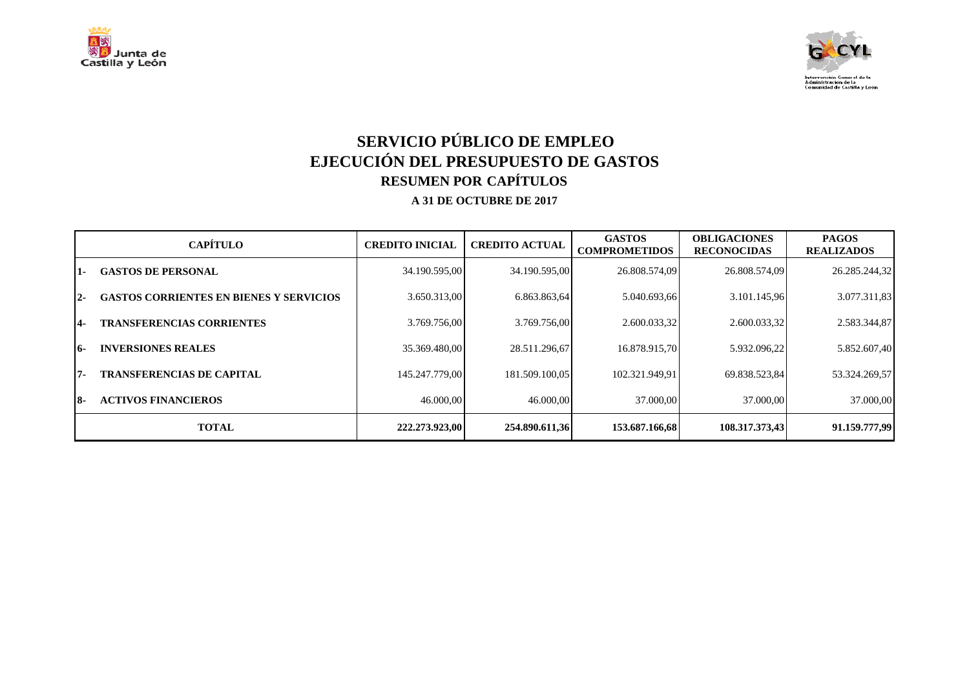



## **SERVICIO PÚBLICO DE EMPLEO EJECUCIÓN DEL PRESUPUESTO DE GASTOS RESUMEN POR CAPÍTULOS A 31 DE OCTUBRE DE 2017**

|            | <b>CAPÍTULO</b>                                | <b>CREDITO INICIAL</b> | <b>CREDITO ACTUAL</b> | <b>GASTOS</b><br><b>COMPROMETIDOS</b> | <b>OBLIGACIONES</b><br><b>RECONOCIDAS</b> | <b>PAGOS</b><br><b>REALIZADOS</b> |
|------------|------------------------------------------------|------------------------|-----------------------|---------------------------------------|-------------------------------------------|-----------------------------------|
| 1-         | <b>GASTOS DE PERSONAL</b>                      | 34.190.595,00          | 34.190.595,00         | 26.808.574,09                         | 26.808.574,09                             | 26.285.244,32                     |
| $2 -$      | <b>GASTOS CORRIENTES EN BIENES Y SERVICIOS</b> | 3.650.313,00           | 6.863.863.64          | 5.040.693.66                          | 3.101.145.96                              | 3.077.311,83                      |
| <b>14-</b> | <b>TRANSFERENCIAS CORRIENTES</b>               | 3.769.756.00           | 3.769.756.00          | 2.600.033,32                          | 2.600.033,32                              | 2.583.344,87                      |
| <b>16-</b> | <b>INVERSIONES REALES</b>                      | 35.369.480.00          | 28.511.296.67         | 16.878.915.70                         | 5.932.096.22                              | 5.852.607,40                      |
| $7 -$      | <b>TRANSFERENCIAS DE CAPITAL</b>               | 145.247.779.00         | 181.509.100.05        | 102.321.949.91                        | 69.838.523.84                             | 53.324.269,57                     |
| 18-        | <b>ACTIVOS FINANCIEROS</b>                     | 46.000,00              | 46.000,00             | 37.000,00                             | 37.000,00                                 | 37,000,00                         |
|            | <b>TOTAL</b>                                   | 222,273,923,00         | 254.890.611,36        | 153.687.166,68                        | 108.317.373,43                            | 91.159.777,99                     |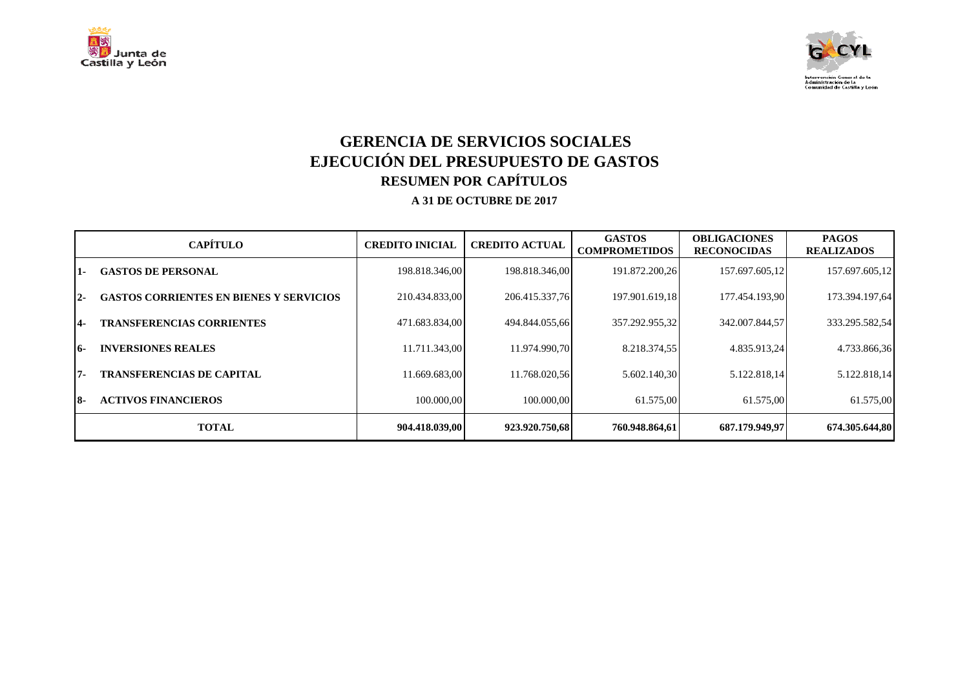



## **GERENCIA DE SERVICIOS SOCIALES EJECUCIÓN DEL PRESUPUESTO DE GASTOS RESUMEN POR CAPÍTULOS A 31 DE OCTUBRE DE 2017**

| <b>CAPÍTULO</b>                                         | <b>CREDITO INICIAL</b> | <b>CREDITO ACTUAL</b> | <b>GASTOS</b><br><b>COMPROMETIDOS</b> | <b>OBLIGACIONES</b><br><b>RECONOCIDAS</b> | <b>PAGOS</b><br><b>REALIZADOS</b> |
|---------------------------------------------------------|------------------------|-----------------------|---------------------------------------|-------------------------------------------|-----------------------------------|
| <b>GASTOS DE PERSONAL</b><br>11 -                       | 198.818.346,00         | 198.818.346,00        | 191.872.200,26                        | 157.697.605,12                            | 157.697.605,12                    |
| <b>GASTOS CORRIENTES EN BIENES Y SERVICIOS</b><br>$2 -$ | 210.434.833,00         | 206.415.337,76        | 197.901.619,18                        | 177.454.193.90                            | 173.394.197,64                    |
| <b>TRANSFERENCIAS CORRIENTES</b><br>14-                 | 471.683.834.00         | 494.844.055.66        | 357.292.955,32                        | 342.007.844.57                            | 333.295.582,54                    |
| <b>INVERSIONES REALES</b><br><b>16-</b>                 | 11.711.343,00          | 11.974.990.70         | 8.218.374,55                          | 4.835.913,24                              | 4.733.866,36                      |
| <b>TRANSFERENCIAS DE CAPITAL</b><br>l7-                 | 11.669.683,00          | 11.768.020,56         | 5.602.140,30                          | 5.122.818,14                              | 5.122.818,14                      |
| <b>ACTIVOS FINANCIEROS</b><br>18-                       | 100.000.00             | 100.000,00            | 61.575.00                             | 61.575,00                                 | 61.575,00                         |
| <b>TOTAL</b>                                            | 904.418.039.00         | 923.920.750.68        | 760.948.864.61                        | 687.179.949.97                            | 674.305.644.80                    |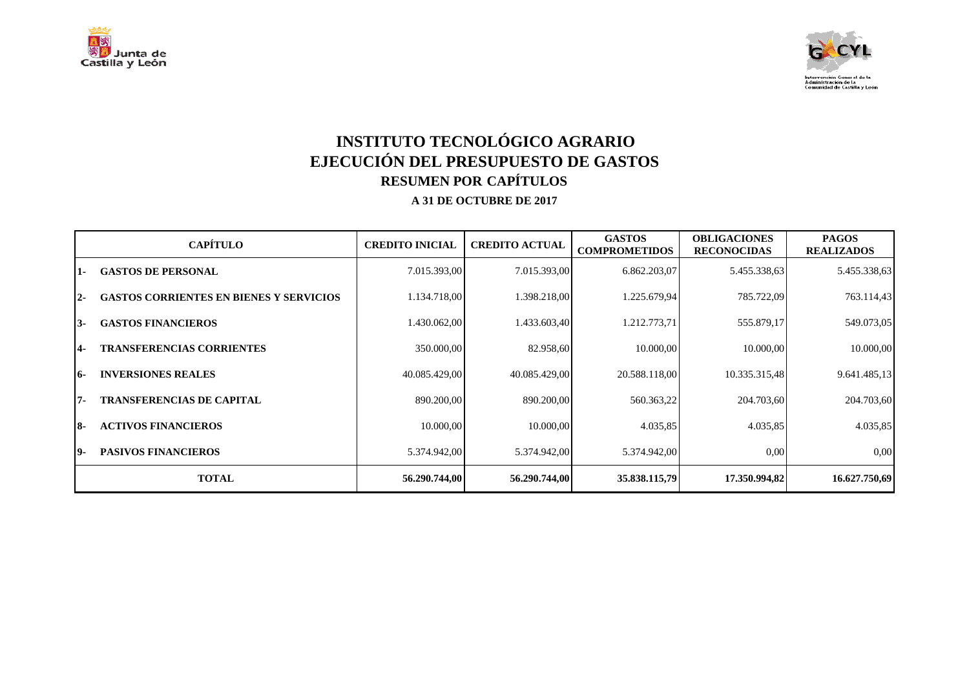



## **INSTITUTO TECNOLÓGICO AGRARIO EJECUCIÓN DEL PRESUPUESTO DE GASTOS RESUMEN POR CAPÍTULOS A 31 DE OCTUBRE DE 2017**

|      | <b>CAPÍTULO</b>                                | <b>CREDITO INICIAL</b> | <b>CREDITO ACTUAL</b> | <b>GASTOS</b><br><b>COMPROMETIDOS</b> | <b>OBLIGACIONES</b><br><b>RECONOCIDAS</b> | <b>PAGOS</b><br><b>REALIZADOS</b> |
|------|------------------------------------------------|------------------------|-----------------------|---------------------------------------|-------------------------------------------|-----------------------------------|
| $1-$ | <b>GASTOS DE PERSONAL</b>                      | 7.015.393,00           | 7.015.393,00          | 6.862.203,07                          | 5.455.338,63                              | 5.455.338,63                      |
| $2-$ | <b>GASTOS CORRIENTES EN BIENES Y SERVICIOS</b> | 1.134.718,00           | 1.398.218,00          | 1.225.679,94                          | 785.722,09                                | 763.114,43                        |
| 13-  | <b>GASTOS FINANCIEROS</b>                      | 1.430.062,00           | 1.433.603,40          | 1.212.773,71                          | 555.879,17                                | 549.073,05                        |
| 4-   | <b>TRANSFERENCIAS CORRIENTES</b>               | 350.000,00             | 82.958,60             | 10.000,00                             | 10.000,00                                 | 10.000,00                         |
| 16-  | <b>INVERSIONES REALES</b>                      | 40.085.429,00          | 40.085.429,00         | 20.588.118,00                         | 10.335.315,48                             | 9.641.485,13                      |
| 17-  | <b>TRANSFERENCIAS DE CAPITAL</b>               | 890.200,00             | 890.200,00            | 560.363,22                            | 204.703,60                                | 204.703,60                        |
| 18-  | <b>ACTIVOS FINANCIEROS</b>                     | 10.000.00              | 10.000.00             | 4.035,85                              | 4.035,85                                  | 4.035,85                          |
| 19-  | <b>PASIVOS FINANCIEROS</b>                     | 5.374.942,00           | 5.374.942,00          | 5.374.942,00                          | 0,00                                      | 0.00                              |
|      | <b>TOTAL</b>                                   | 56.290.744,00          | 56.290.744,00         | 35.838.115,79                         | 17.350.994,82                             | 16.627.750,69                     |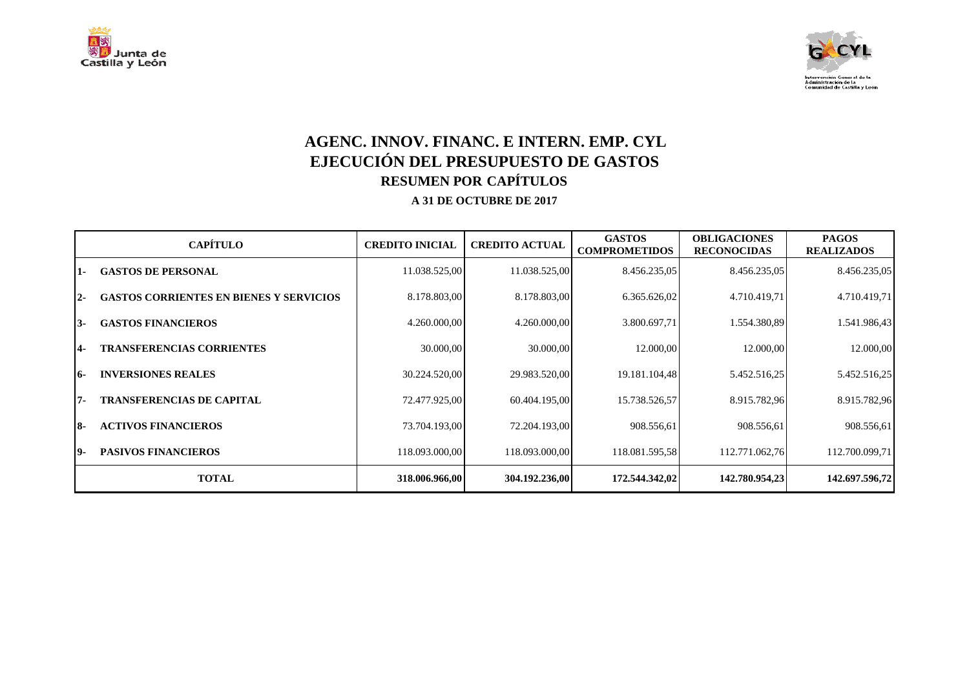



## **AGENC. INNOV. FINANC. E INTERN. EMP. CYL EJECUCIÓN DEL PRESUPUESTO DE GASTOS RESUMEN POR CAPÍTULOS A 31 DE OCTUBRE DE 2017**

|       | <b>CAPÍTULO</b>                                | <b>CREDITO INICIAL</b> | <b>CREDITO ACTUAL</b> | <b>GASTOS</b><br><b>COMPROMETIDOS</b> | <b>OBLIGACIONES</b><br><b>RECONOCIDAS</b> | <b>PAGOS</b><br><b>REALIZADOS</b> |
|-------|------------------------------------------------|------------------------|-----------------------|---------------------------------------|-------------------------------------------|-----------------------------------|
| 1-    | <b>GASTOS DE PERSONAL</b>                      | 11.038.525,00          | 11.038.525,00         | 8.456.235,05                          | 8.456.235,05                              | 8.456.235,05                      |
| $2 -$ | <b>GASTOS CORRIENTES EN BIENES Y SERVICIOS</b> | 8.178.803,00           | 8.178.803,00          | 6.365.626,02                          | 4.710.419,71                              | 4.710.419,71                      |
| I3-   | <b>GASTOS FINANCIEROS</b>                      | 4.260.000,00           | 4.260.000,00          | 3.800.697,71                          | 1.554.380,89                              | 1.541.986,43                      |
| 4-    | <b>TRANSFERENCIAS CORRIENTES</b>               | 30.000,00              | 30.000,00             | 12.000,00                             | 12.000,00                                 | 12.000,00                         |
| 16-   | <b>INVERSIONES REALES</b>                      | 30.224.520,00          | 29.983.520,00         | 19.181.104,48                         | 5.452.516,25                              | 5.452.516,25                      |
| I7-   | <b>TRANSFERENCIAS DE CAPITAL</b>               | 72.477.925,00          | 60.404.195,00         | 15.738.526,57                         | 8.915.782,96                              | 8.915.782,96                      |
| I8-   | <b>ACTIVOS FINANCIEROS</b>                     | 73.704.193,00          | 72.204.193.00         | 908.556.61                            | 908.556,61                                | 908.556,61                        |
| 19-   | <b>PASIVOS FINANCIEROS</b>                     | 118.093.000,00         | 118.093.000,00        | 118.081.595,58                        | 112.771.062,76                            | 112.700.099,71                    |
|       | <b>TOTAL</b>                                   | 318.006.966,00         | 304.192.236,00        | 172.544.342,02                        | 142.780.954,23                            | 142.697.596,72                    |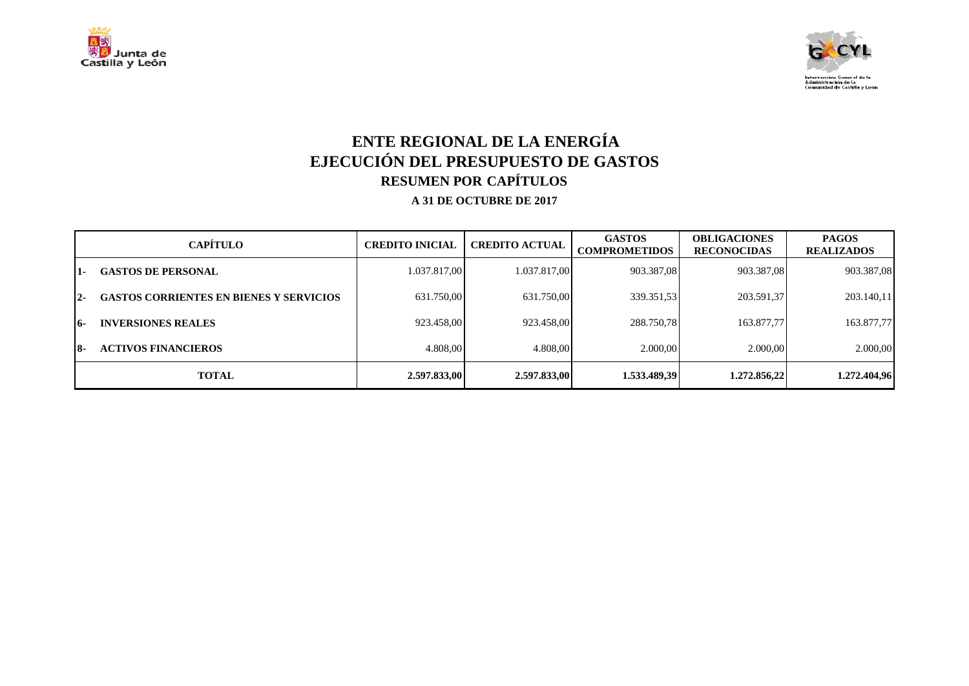



## **ENTE REGIONAL DE LA ENERGÍA EJECUCIÓN DEL PRESUPUESTO DE GASTOS RESUMEN POR CAPÍTULOS A 31 DE OCTUBRE DE 2017**

|       | <b>CAPÍTULO</b>                                | <b>CREDITO INICIAL</b> | <b>CREDITO ACTUAL</b> | <b>GASTOS</b><br><b>COMPROMETIDOS</b> | <b>OBLIGACIONES</b><br><b>RECONOCIDAS</b> | <b>PAGOS</b><br><b>REALIZADOS</b> |
|-------|------------------------------------------------|------------------------|-----------------------|---------------------------------------|-------------------------------------------|-----------------------------------|
| 1-    | <b>GASTOS DE PERSONAL</b>                      | 1.037.817,00           | 1.037.817,00          | 903.387,08                            | 903.387,08                                | 903.387,08                        |
| $2 -$ | <b>GASTOS CORRIENTES EN BIENES Y SERVICIOS</b> | 631.750.00             | 631.750,00            | 339.351.53                            | 203.591,37                                | 203.140,11                        |
| 16-   | <b>INVERSIONES REALES</b>                      | 923.458.00             | 923.458,00            | 288.750.78                            | 163.877.77                                | 163.877,77                        |
| 18-   | <b>ACTIVOS FINANCIEROS</b>                     | 4.808.00               | 4.808.00              | 2.000,00                              | 2.000,00                                  | 2.000,00                          |
|       | <b>TOTAL</b>                                   | 2.597.833,00           | 2.597.833,00          | 1.533.489,39                          | 1.272.856,22                              | 1.272.404,96                      |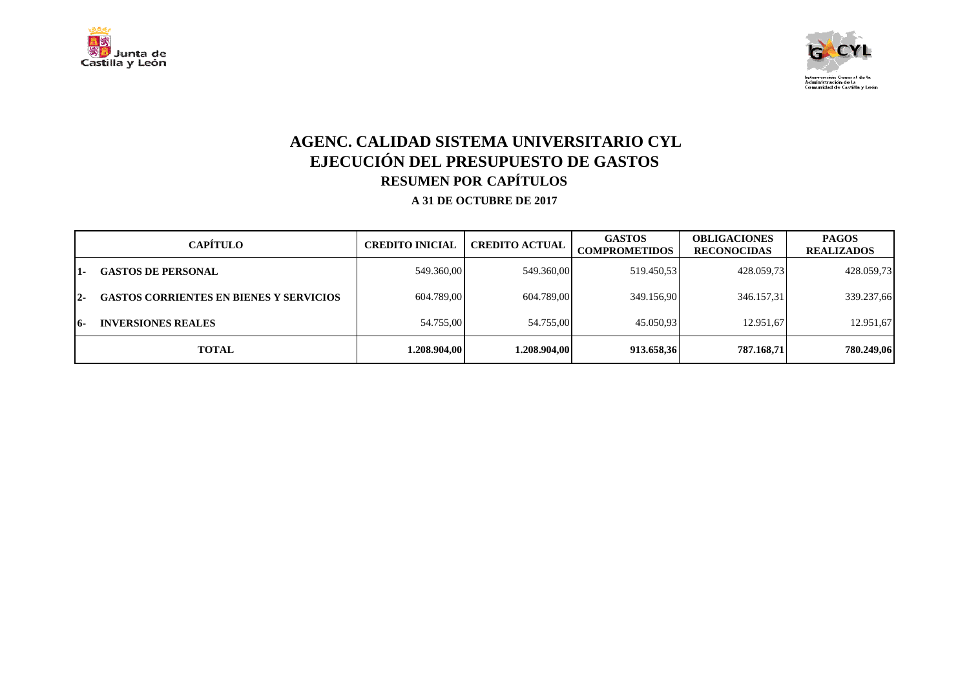



# **AGENC. CALIDAD SISTEMA UNIVERSITARIO CYL EJECUCIÓN DEL PRESUPUESTO DE GASTOS RESUMEN POR CAPÍTULOS**

|       | CAPÍTULO                                       | <b>CREDITO INICIAL</b> | <b>CREDITO ACTUAL</b> | <b>GASTOS</b><br><b>COMPROMETIDOS</b> | <b>OBLIGACIONES</b><br><b>RECONOCIDAS</b> | <b>PAGOS</b><br><b>REALIZADOS</b> |
|-------|------------------------------------------------|------------------------|-----------------------|---------------------------------------|-------------------------------------------|-----------------------------------|
| $1 -$ | <b>GASTOS DE PERSONAL</b>                      | 549.360,00             | 549.360,00            | 519.450.53                            | 428.059.73                                | 428.059,73                        |
| $12-$ | <b>GASTOS CORRIENTES EN BIENES Y SERVICIOS</b> | 604.789,00             | 604.789,00            | 349.156,90                            | 346.157,31                                | 339.237,66                        |
| 16-   | <b>INVERSIONES REALES</b>                      | 54.755,00              | 54.755,00             | 45.050,93                             | 12.951.67                                 | 12.951,67                         |
|       | <b>TOTAL</b>                                   | 1.208.904.00           | 1.208.904.00          | 913.658,36                            | 787.168.71                                | 780.249,06                        |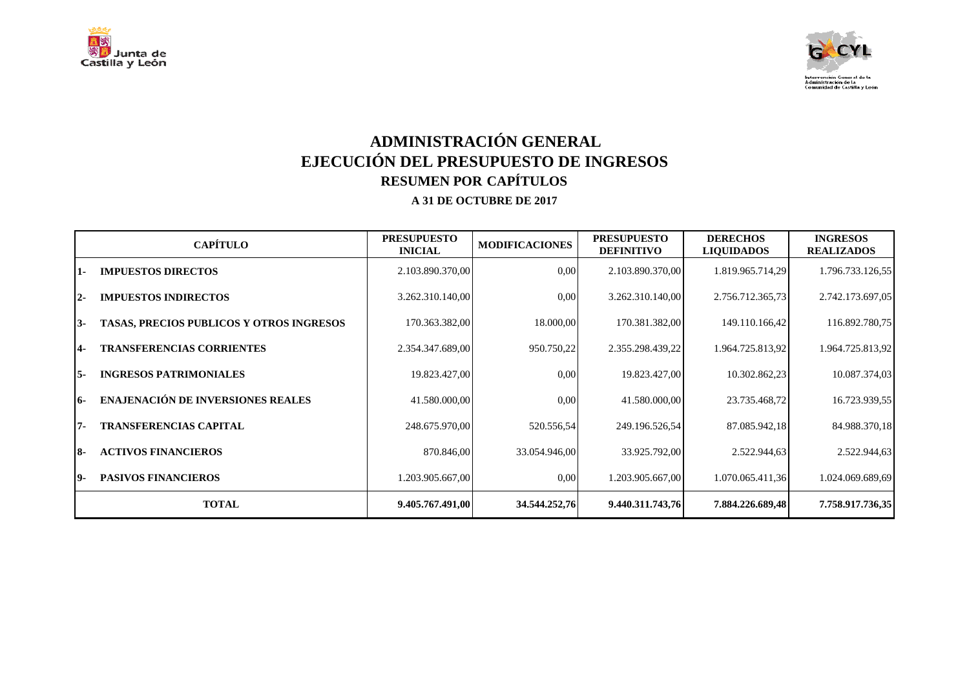



# **ADMINISTRACIÓN GENERAL EJECUCIÓN DEL PRESUPUESTO DE INGRESOS RESUMEN POR CAPÍTULOS**

|            | <b>CAPÍTULO</b>                                 | <b>PRESUPUESTO</b><br><b>INICIAL</b> | <b>MODIFICACIONES</b> | <b>PRESUPUESTO</b><br><b>DEFINITIVO</b> | <b>DERECHOS</b><br><b>LIQUIDADOS</b> | <b>INGRESOS</b><br><b>REALIZADOS</b> |
|------------|-------------------------------------------------|--------------------------------------|-----------------------|-----------------------------------------|--------------------------------------|--------------------------------------|
| 1-         | <b>IMPUESTOS DIRECTOS</b>                       | 2.103.890.370,00                     | 0,00                  | 2.103.890.370,00                        | 1.819.965.714,29                     | 1.796.733.126,55                     |
| $12-$      | <b>IMPUESTOS INDIRECTOS</b>                     | 3.262.310.140,00                     | 0,00                  | 3.262.310.140,00                        | 2.756.712.365,73                     | 2.742.173.697,05                     |
| 13-        | <b>TASAS, PRECIOS PUBLICOS Y OTROS INGRESOS</b> | 170.363.382,00                       | 18.000,00             | 170.381.382,00                          | 149.110.166,42                       | 116.892.780,75                       |
| <b>14-</b> | <b>TRANSFERENCIAS CORRIENTES</b>                | 2.354.347.689,00                     | 950.750,22            | 2.355.298.439,22                        | 1.964.725.813,92                     | 1.964.725.813,92                     |
| I5-        | <b>INGRESOS PATRIMONIALES</b>                   | 19.823.427,00                        | 0,00                  | 19.823.427,00                           | 10.302.862,23                        | 10.087.374,03                        |
| 16-        | <b>ENAJENACIÓN DE INVERSIONES REALES</b>        | 41.580.000,00                        | 0,00                  | 41.580.000,00                           | 23.735.468,72                        | 16.723.939,55                        |
| 17-        | <b>TRANSFERENCIAS CAPITAL</b>                   | 248.675.970,00                       | 520.556,54            | 249.196.526,54                          | 87.085.942,18                        | 84.988.370,18                        |
| I8-        | <b>ACTIVOS FINANCIEROS</b>                      | 870.846,00                           | 33.054.946,00         | 33.925.792,00                           | 2.522.944,63                         | 2.522.944,63                         |
| 19-        | <b>PASIVOS FINANCIEROS</b>                      | 1.203.905.667.00                     | 0,00                  | 1.203.905.667,00                        | 1.070.065.411,36                     | 1.024.069.689,69                     |
|            | <b>TOTAL</b>                                    | 9.405.767.491,00                     | 34.544.252,76         | 9.440.311.743,76                        | 7.884.226.689,48                     | 7.758.917.736,35                     |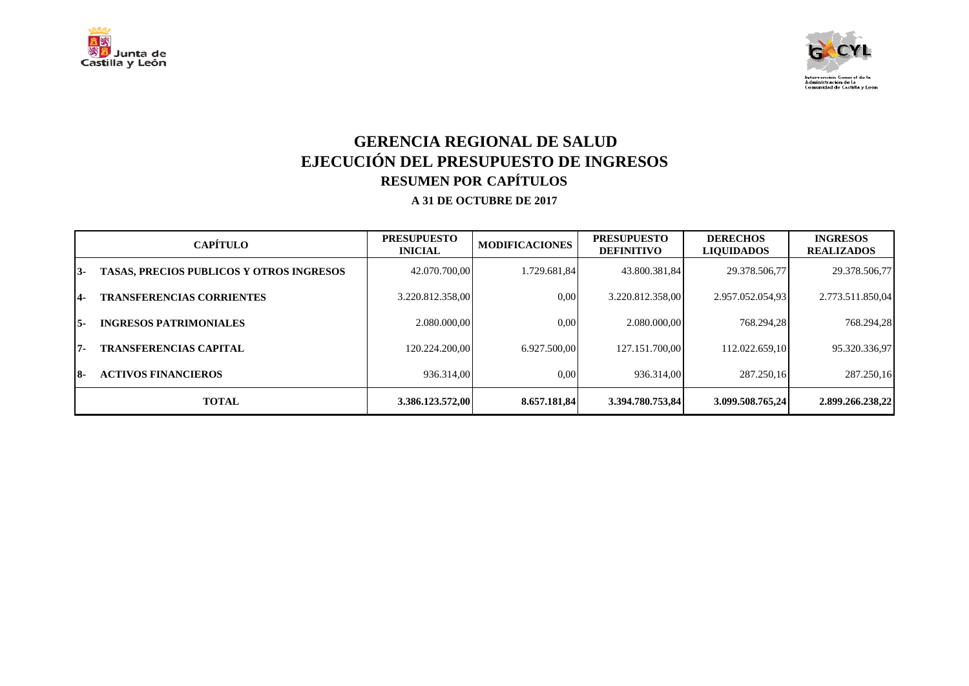



## **GERENCIA REGIONAL DE SALUD EJECUCIÓN DEL PRESUPUESTO DE INGRESOS RESUMEN POR CAPÍTULOS**

|      | <b>CAPÍTULO</b>                                 | <b>PRESUPUESTO</b><br><b>INICIAL</b> | <b>MODIFICACIONES</b> | <b>PRESUPUESTO</b><br><b>DEFINITIVO</b> | <b>DERECHOS</b><br><b>LIQUIDADOS</b> | <b>INGRESOS</b><br><b>REALIZADOS</b> |
|------|-------------------------------------------------|--------------------------------------|-----------------------|-----------------------------------------|--------------------------------------|--------------------------------------|
| 13-  | <b>TASAS, PRECIOS PUBLICOS Y OTROS INGRESOS</b> | 42.070.700.00                        | 1.729.681.84          | 43.800.381.84                           | 29.378.506,77                        | 29.378.506,77                        |
| $4-$ | <b>TRANSFERENCIAS CORRIENTES</b>                | 3.220.812.358.00                     | 0.00                  | 3.220.812.358.00                        | 2.957.052.054.93                     | 2.773.511.850,04                     |
| I5-  | <b>INGRESOS PATRIMONIALES</b>                   | 2.080.000.00                         | 0.00                  | 2.080.000.00                            | 768.294.28                           | 768.294,28                           |
| 17-  | <b>TRANSFERENCIAS CAPITAL</b>                   | 120.224.200.00                       | 6.927.500.00          | 127.151.700.00                          | 112.022.659.10                       | 95.320.336,97                        |
| 18-  | <b>ACTIVOS FINANCIEROS</b>                      | 936.314.00                           | 0.00                  | 936.314.00                              | 287.250.16                           | 287.250,16                           |
|      | <b>TOTAL</b>                                    | 3.386.123.572,00                     | 8.657.181.84          | 3.394.780.753.84                        | 3.099.508.765.24                     | 2.899.266.238.22                     |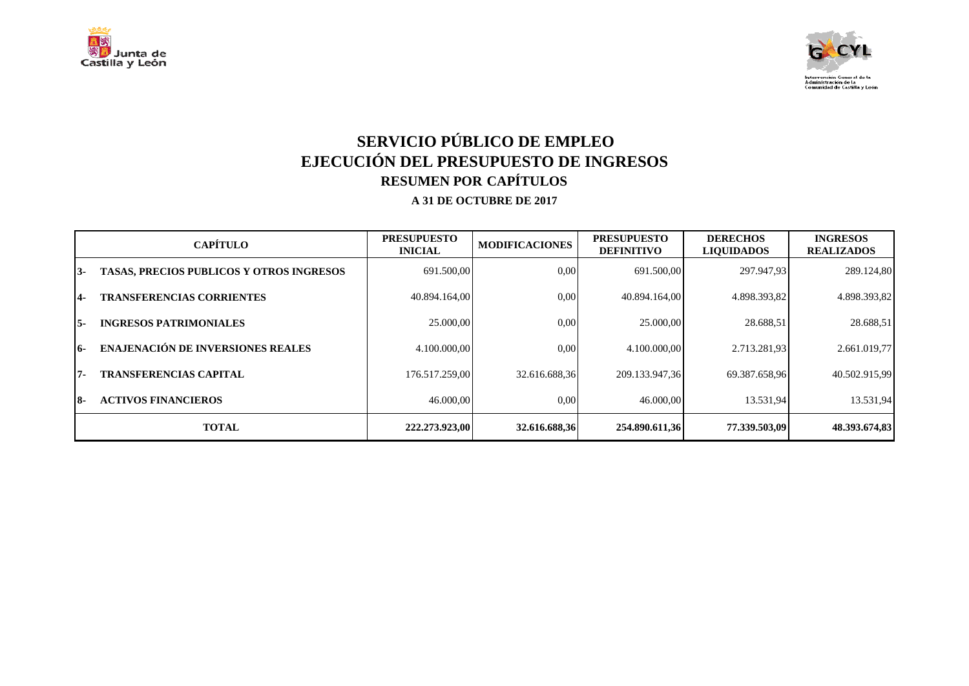



# **SERVICIO PÚBLICO DE EMPLEO EJECUCIÓN DEL PRESUPUESTO DE INGRESOS RESUMEN POR CAPÍTULOS**

|     | <b>CAPÍTULO</b>                                 | <b>PRESUPUESTO</b><br><b>INICIAL</b> | <b>MODIFICACIONES</b> | <b>PRESUPUESTO</b><br><b>DEFINITIVO</b> | <b>DERECHOS</b><br><b>LIQUIDADOS</b> | <b>INGRESOS</b><br><b>REALIZADOS</b> |
|-----|-------------------------------------------------|--------------------------------------|-----------------------|-----------------------------------------|--------------------------------------|--------------------------------------|
| 13- | <b>TASAS, PRECIOS PUBLICOS Y OTROS INGRESOS</b> | 691.500,00                           | 0.00                  | 691.500.00                              | 297.947.93                           | 289.124,80                           |
| 14- | <b>TRANSFERENCIAS CORRIENTES</b>                | 40.894.164,00                        | 0.00                  | 40.894.164.00                           | 4.898.393,82                         | 4.898.393,82                         |
| 15- | <b>INGRESOS PATRIMONIALES</b>                   | 25,000,00                            | 0.00                  | 25.000,00                               | 28.688.51                            | 28.688,51                            |
| 16- | <b>ENAJENACIÓN DE INVERSIONES REALES</b>        | 4.100.000.00                         | 0,00                  | 4.100.000.00                            | 2.713.281,93                         | 2.661.019,77                         |
| 17- | <b>TRANSFERENCIAS CAPITAL</b>                   | 176.517.259.00                       | 32.616.688.36         | 209.133.947,36                          | 69.387.658,96                        | 40.502.915,99                        |
| 18- | <b>ACTIVOS FINANCIEROS</b>                      | 46.000,00                            | 0.00                  | 46.000,00                               | 13.531,94                            | 13.531,94                            |
|     | <b>TOTAL</b>                                    | 222.273.923.00                       | 32.616.688,36         | 254.890.611.36                          | 77.339.503.09                        | 48.393.674,83                        |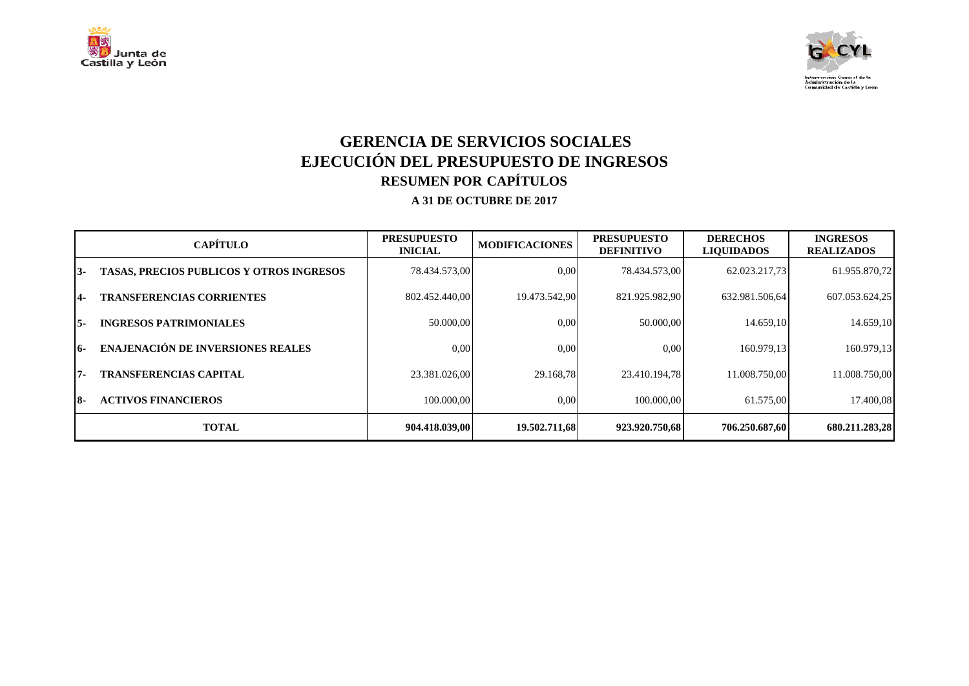



## **GERENCIA DE SERVICIOS SOCIALES EJECUCIÓN DEL PRESUPUESTO DE INGRESOS RESUMEN POR CAPÍTULOS**

|     | <b>CAPÍTULO</b>                                 | <b>PRESUPUESTO</b><br><b>INICIAL</b> | <b>MODIFICACIONES</b> | <b>PRESUPUESTO</b><br><b>DEFINITIVO</b> | <b>DERECHOS</b><br><b>LIOUIDADOS</b> | <b>INGRESOS</b><br><b>REALIZADOS</b> |
|-----|-------------------------------------------------|--------------------------------------|-----------------------|-----------------------------------------|--------------------------------------|--------------------------------------|
| 13- | <b>TASAS, PRECIOS PUBLICOS Y OTROS INGRESOS</b> | 78.434.573.00                        | 0.00                  | 78.434.573.00                           | 62.023.217.73                        | 61.955.870,72                        |
| 14- | <b>TRANSFERENCIAS CORRIENTES</b>                | 802.452.440,00                       | 19.473.542.90         | 821.925.982,90                          | 632.981.506,64                       | 607.053.624,25                       |
| 15- | <b>INGRESOS PATRIMONIALES</b>                   | 50.000,00                            | 0.00                  | 50.000,00                               | 14.659,10                            | 14.659,10                            |
| 16- | <b>ENAJENACIÓN DE INVERSIONES REALES</b>        | 0.00                                 | 0.00                  | 0.00                                    | 160.979.13                           | 160.979,13                           |
| 17- | <b>TRANSFERENCIAS CAPITAL</b>                   | 23.381.026,00                        | 29.168.78             | 23.410.194.78                           | 11.008.750.00                        | 11.008.750,00                        |
| I8- | <b>ACTIVOS FINANCIEROS</b>                      | 100.000.00                           | 0.00                  | 100.000.00                              | 61.575,00                            | 17.400,08                            |
|     | <b>TOTAL</b>                                    | 904.418.039.00                       | 19.502.711.68         | 923.920.750.68                          | 706.250.687.60                       | 680.211.283,28                       |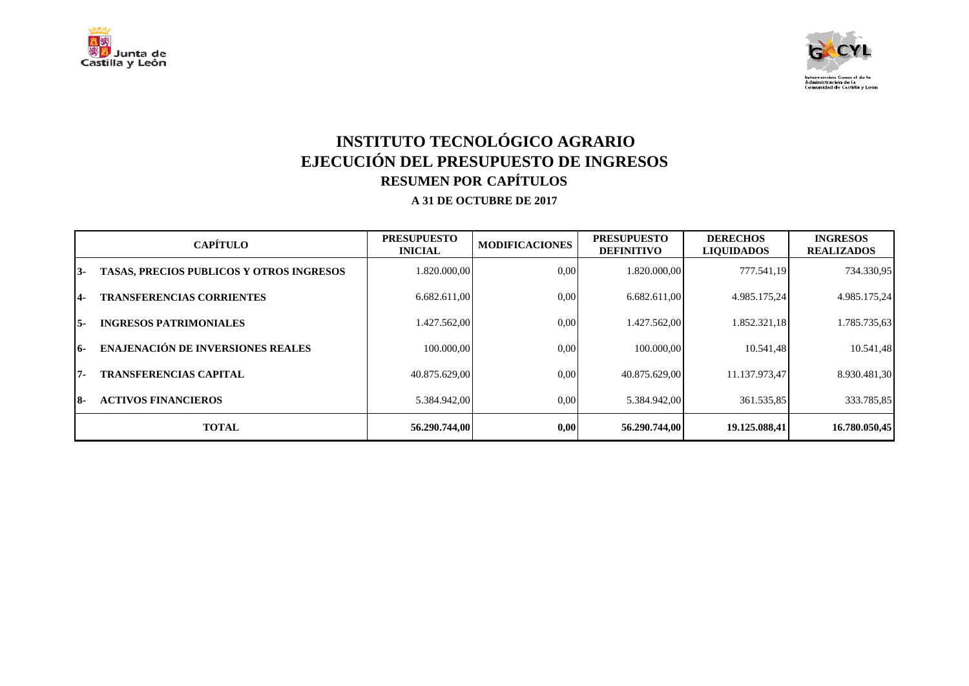



# **INSTITUTO TECNOLÓGICO AGRARIO EJECUCIÓN DEL PRESUPUESTO DE INGRESOS RESUMEN POR CAPÍTULOS**

|     | <b>CAPÍTULO</b>                                 | <b>PRESUPUESTO</b><br><b>INICIAL</b> | <b>MODIFICACIONES</b> | <b>PRESUPUESTO</b><br><b>DEFINITIVO</b> | <b>DERECHOS</b><br><b>LIQUIDADOS</b> | <b>INGRESOS</b><br><b>REALIZADOS</b> |
|-----|-------------------------------------------------|--------------------------------------|-----------------------|-----------------------------------------|--------------------------------------|--------------------------------------|
| 13- | <b>TASAS, PRECIOS PUBLICOS Y OTROS INGRESOS</b> | 1.820.000,00                         | 0.00                  | 1.820.000.00                            | 777.541.19                           | 734.330,95                           |
| 14- | <b>TRANSFERENCIAS CORRIENTES</b>                | 6.682.611,00                         | 0.00                  | 6.682.611,00                            | 4.985.175,24                         | 4.985.175,24                         |
| 15- | <b>INGRESOS PATRIMONIALES</b>                   | 1.427.562.00                         | 0.00                  | 1.427.562.00                            | 1.852.321.18                         | 1.785.735,63                         |
| 16- | <b>ENAJENACIÓN DE INVERSIONES REALES</b>        | 100.000.00                           | 0.00                  | 100.000.00                              | 10.541,48                            | 10.541,48                            |
| 17- | <b>TRANSFERENCIAS CAPITAL</b>                   | 40.875.629,00                        | 0.00                  | 40.875.629.00                           | 11.137.973,47                        | 8.930.481,30                         |
| I8- | <b>ACTIVOS FINANCIEROS</b>                      | 5.384.942,00                         | 0.00                  | 5.384.942.00                            | 361.535,85                           | 333.785,85                           |
|     | <b>TOTAL</b>                                    | 56.290.744,00                        | 0,00                  | 56.290.744.00                           | 19.125.088.41                        | 16.780.050.45                        |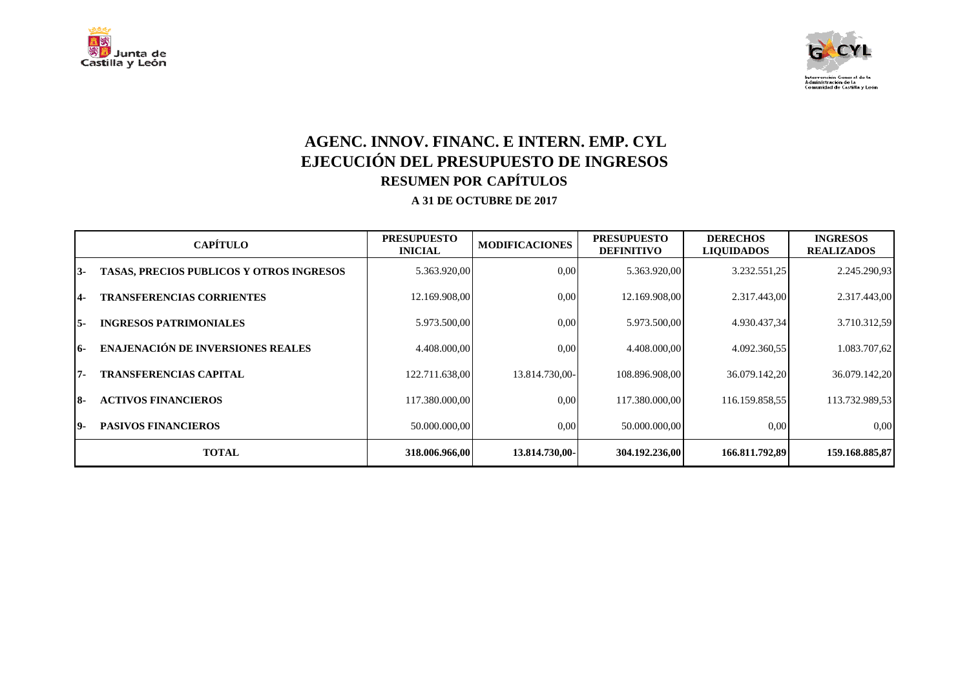



## **AGENC. INNOV. FINANC. E INTERN. EMP. CYL EJECUCIÓN DEL PRESUPUESTO DE INGRESOS RESUMEN POR CAPÍTULOS**

|     | <b>CAPÍTULO</b>                                 | <b>PRESUPUESTO</b><br><b>INICIAL</b> | <b>MODIFICACIONES</b> | <b>PRESUPUESTO</b><br><b>DEFINITIVO</b> | <b>DERECHOS</b><br><b>LIQUIDADOS</b> | <b>INGRESOS</b><br><b>REALIZADOS</b> |
|-----|-------------------------------------------------|--------------------------------------|-----------------------|-----------------------------------------|--------------------------------------|--------------------------------------|
| 13- | <b>TASAS, PRECIOS PUBLICOS Y OTROS INGRESOS</b> | 5.363.920,00                         | 0.00                  | 5.363.920,00                            | 3.232.551,25                         | 2.245.290,93                         |
| 14- | <b>TRANSFERENCIAS CORRIENTES</b>                | 12.169.908,00                        | 0.00                  | 12.169.908,00                           | 2.317.443,00                         | 2.317.443,00                         |
| 15- | <b>INGRESOS PATRIMONIALES</b>                   | 5.973.500,00                         | 0.00                  | 5.973.500,00                            | 4.930.437,34                         | 3.710.312.59                         |
| 16- | <b>ENAJENACIÓN DE INVERSIONES REALES</b>        | 4.408.000.00                         | 0.00                  | 4.408.000.00                            | 4.092.360,55                         | 1.083.707,62                         |
| 17- | <b>TRANSFERENCIAS CAPITAL</b>                   | 122.711.638.00                       | 13.814.730,00-        | 108.896.908,00                          | 36.079.142,20                        | 36.079.142,20                        |
| 18- | <b>ACTIVOS FINANCIEROS</b>                      | 117.380.000.00                       | 0.00                  | 117.380.000.00                          | 116.159.858.55                       | 113.732.989,53                       |
| 19- | <b>PASIVOS FINANCIEROS</b>                      | 50.000.000.00                        | 0.00                  | 50.000.000.00                           | 0,00                                 | 0,00                                 |
|     | <b>TOTAL</b>                                    | 318.006.966,00                       | 13.814.730,00-        | 304.192.236,00                          | 166.811.792,89                       | 159.168.885,87                       |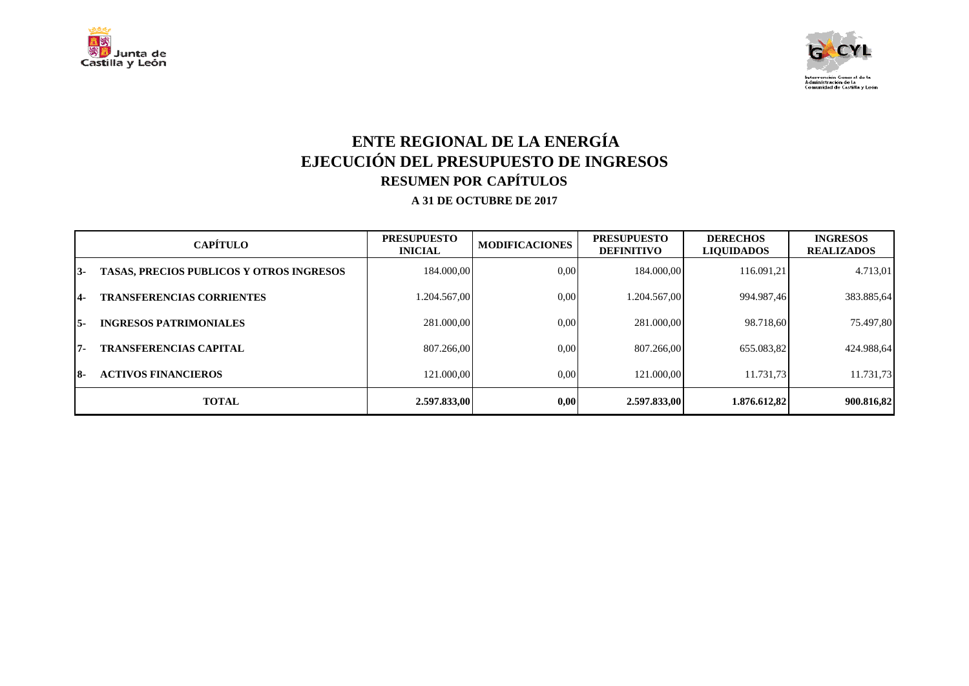



# **ENTE REGIONAL DE LA ENERGÍA EJECUCIÓN DEL PRESUPUESTO DE INGRESOS RESUMEN POR CAPÍTULOS**

|       | <b>CAPÍTULO</b>                                 | <b>PRESUPUESTO</b><br><b>INICIAL</b> | <b>MODIFICACIONES</b> | <b>PRESUPUESTO</b><br><b>DEFINITIVO</b> | <b>DERECHOS</b><br><b>LIQUIDADOS</b> | <b>INGRESOS</b><br><b>REALIZADOS</b> |
|-------|-------------------------------------------------|--------------------------------------|-----------------------|-----------------------------------------|--------------------------------------|--------------------------------------|
| $13-$ | <b>TASAS, PRECIOS PUBLICOS Y OTROS INGRESOS</b> | 184.000,00                           | 0,00                  | 184.000.00                              | 116.091.21                           | 4.713.01                             |
| 14-   | <b>TRANSFERENCIAS CORRIENTES</b>                | 1.204.567,00                         | 0.00                  | 1.204.567.00                            | 994.987.46                           | 383.885,64                           |
| 15-   | <b>INGRESOS PATRIMONIALES</b>                   | 281.000.00                           | 0.00                  | 281.000.00                              | 98.718.60                            | 75.497,80                            |
| 17-   | <b>TRANSFERENCIAS CAPITAL</b>                   | 807.266.00                           | 0.00                  | 807.266.00                              | 655.083.82                           | 424.988.64                           |
| 18-   | <b>ACTIVOS FINANCIEROS</b>                      | 121.000.00                           | 0,00                  | 121.000.00                              | 11.731.73                            | 11.731,73                            |
|       | <b>TOTAL</b>                                    | 2.597.833,00                         | 0,00                  | 2.597.833,00                            | 1.876.612,82                         | 900.816,82                           |